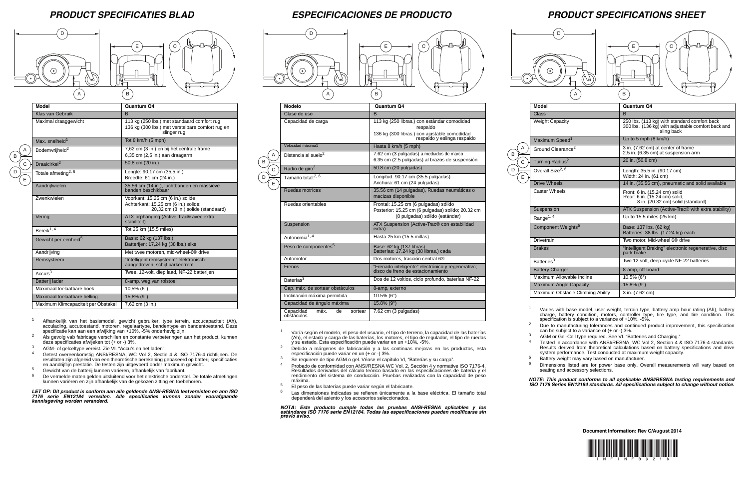

D D



E C



 $\,$  B

A) (B

## *PRODUCT SPECIFICATIES BLAD ESPECIFICACIONES DE PRODUCTO PRODUCT SPECIFICATIONS SHEET*

 $\left| \begin{array}{c} \hline \end{array} \right|$   $\left| \begin{array}{c} \hline \end{array} \right|$   $\left| \begin{array}{c} \hline \end{array} \right|$ 

**Document Information: Rev C/August 2014**



Varies with base model, user weight, terrain type, battery amp hour rating (Ah), battery charge, battery condition, motors, controller type, tire type, and tire condition. This specification is subject to a variance of +10%, -5%.

| <b>Model</b>                      | Quantum Q4                                                                                                       |
|-----------------------------------|------------------------------------------------------------------------------------------------------------------|
| Class                             | <sub>B</sub>                                                                                                     |
| <b>Weight Capacity</b>            | 250 lbs. (113 kg) with standard comfort back<br>300 lbs. (136 kg) with adjustable comfort back and<br>sling back |
| Maximum Speed <sup>1</sup>        | Up to 5 mph $(8 \text{ km/h})$                                                                                   |
| Ground Clearance <sup>2</sup>     | 3 in. (7.62 cm) at center of frame<br>2.5 in. (6.35 cm) at suspension arm                                        |
| Turning Radius <sup>2</sup>       | 20 in. (50.8 cm)                                                                                                 |
| Overall Size <sup>2, 6</sup>      | Length: 35.5 in. (90.17 cm)<br>Width: 24 in. (61 cm)                                                             |
| Drive Wheels                      | 14 in. (35.56 cm), pneumatic and solid available                                                                 |
| <b>Caster Wheels</b>              | Front: 6 in. (15.24 cm) solid<br>Rear: 6 in. (15.24 cm) solid;<br>8 in. (20.32 cm) solid (standard)              |
| Suspension                        | ATX Suspension (Active-Trac <sup>®</sup> with extra stability)                                                   |
| Range <sup>1, 4</sup>             | Up to 15.5 miles (25 km)                                                                                         |
| Component Weights <sup>5</sup>    | Base: 137 lbs. (62 kg)<br>Batteries: 38 lbs. (17.24 kg) each                                                     |
| Drivetrain                        | Two motor, Mid-wheel 6 <sup>®</sup> drive                                                                        |
| <b>Brakes</b>                     | "Intelligent Braking" electronic regenerative, disc<br>park brake                                                |
| Batteries <sup>3</sup>            | Two 12-volt, deep-cycle NF-22 batteries                                                                          |
| <b>Battery Charger</b>            | 8-amp, off-board                                                                                                 |
| Maximum Allowable Incline         | $10.5\%$ (6°)                                                                                                    |
| <b>Maximum Angle Capacity</b>     | $15.8\%$ (9°)                                                                                                    |
| Maximum Obstacle Climbing Ability | 3 in. (7.62 cm)                                                                                                  |

<sup>2</sup> Due to manufacturing tolerances and continued product improvement, this specification can be subject to a variance of (+ or -) 3%.

Tested in accordance with ANSI/RESNA, WC Vol 2, Section 4 & ISO 7176-4 standards. Results derived from theoretical calculations based on battery specifications and drive system performance. Test conducted at maximum weight capacity.

 $\overline{B}$ A

 $\overline{c}$ 

E  $\overline{D}$ 

<sup>3</sup> AGM or Gel-Cell type required. See VI. "Batteries and Charging."

<sup>5</sup> Battery weight may vary based on manufacturer.

<sup>6</sup> Dimensions listed are for power base only. Overall measurements will vary based on seating and accessory selections.

- 4 Getest overeenkomstig ANSI/RESNA, WC Vol 2, Sectie 4 & ISO 7176-4 richtlijnen. De resultaten zijn afgeleid van een theoretische berekening gebaseerd op batterij specificaties en aandrijflijn prestatie. De testen zijn uitgevoerd onder maximum gewicht.
- $5$  Gewicht van de batterij kunnen variëren, afhankelijk van fabrikant.<br> $6$  De vermelde maten gelden uiteluitend voor het elektrische onderet
- <sup>6</sup> De vermelde maten gelden uitsluitend voor het elektrische onderstel. De totale afmetingen kunnen variëren en zijn afhankelijk van de gekozen zitting en toebehoren.

*NOTE: This product conforms to all applicable ANSI/RESNA testing requirements and ISO 7176 Series EN12184 standards. All specifications subject to change without notice.*



|              | <b>Model</b>                        | Quantum Q4                                                                                                       |
|--------------|-------------------------------------|------------------------------------------------------------------------------------------------------------------|
|              | <b>Klas van Gebruik</b>             | <sub>B</sub>                                                                                                     |
|              | Maximal draaggewicht                | 113 kg (250 lbs.) met standaard comfort rug<br>136 kg (300 lbs.) met verstelbare comfort rug en<br>slinger rug   |
|              | Max. snelheid <sup>1</sup>          | Tot 8 km/h (5 mph)                                                                                               |
| A            | Bodemvrijheid <sup>2</sup>          | 7,62 cm (3 in.) en bij het centrale frame<br>6,35 cm (2,5 in.) aan draagarm                                      |
| $\mathsf{C}$ | Draaicirkel <sup>2</sup>            | 50,8 cm (20 in.)                                                                                                 |
| E            | Totale afmeting <sup>2, 6</sup>     | Lengte: 90,17 cm (35,5 in.)<br>Breedte: 61 cm (24 in.)                                                           |
|              | Aandrijfwielen                      | 35,56 cm (14 in.), luchtbanden en massieve<br>banden beschikbaar                                                 |
|              | <b>Zwenkwielen</b>                  | Voorkant: 15,25 cm (6 in.) solide<br>Achterkant: 15,25 cm (6 in.) solide;<br>20,32 cm (8 in.) solide (standaard) |
|              | Vering                              | ATX-orphanging (Active-Trac® avec extra<br>stabiliteit)                                                          |
|              | Bereik <sup>1, 4</sup>              | Tot 25 km (15,5 miles)                                                                                           |
|              | Gewicht per eenheid <sup>5</sup>    | Basis: 62 kg (137 lbs.)<br>Batterijen: 17,24 kg (38 lbs.) elke                                                   |
|              | Aandrijving                         | Met twee motoren, mid-wheel-6 <sup>®</sup> drive                                                                 |
|              | Remsysteem                          | "Intelligent remsysteem" elektronisch<br>aangedreven, schijf parkeerrem                                          |
|              | Accu's <sup>3</sup>                 | Twee, 12-volt, diep laad, NF-22 batterijen                                                                       |
|              | Batterij lader                      | 8-amp, weg van rolstoel                                                                                          |
|              | Maximaal toelaatbare hoek           | $10,5\%$ (6°)                                                                                                    |
|              | Maximaal toelaatbare helling        | $15,8\%$ (9°)                                                                                                    |
|              | Maximum Klimcapaciteit per Obstakel | 7,62 cm (3 in.)                                                                                                  |

B

D

- <sup>1</sup> Afhankelijk van het basismodel, gewicht gebruiker, type terrein, accucapaciteit (Ah), acculading, accutoestand, motoren, regelaartype, bandentype en bandentoestand. Deze specificatie kan aan een afwijking van +10%, -5% onderhevig zijn.
- <sup>2</sup> Als gevolg vab fabricage verschillen en constante verbeteringen aan het product, kunnen deze specificaties afwijeken tot (+ or -) 3%.
- <sup>3</sup> AGM- of gelceltype vereist. Zie VI. "Accu's en het laden".

*LET OP: Dit product is conform aan alle geldende ANSI-RESNA testvereisten en ann ISO 7176 serie EN12184 veresiten. Alle specificaties kunnen zonder voorafgaande kennisgeving worden veranderd.*

|   | <b>Modelo</b>                                    | Quantum Q4                                                                                                                             |
|---|--------------------------------------------------|----------------------------------------------------------------------------------------------------------------------------------------|
|   | Clase de uso                                     | <sub>B</sub>                                                                                                                           |
|   | Capacidad de carga                               | 113 kg (250 libras.) con estándar comodidad<br>respaldo<br>136 kg (300 libras.) con ajustable comodidad<br>respaido y eslinga respaldo |
|   | Velocidad máxima1                                | Hasta 8 km/h (5 mph)                                                                                                                   |
| Α | Distancia al suelo <sup>2</sup>                  | 7.62 cm (3 pulgadas) a mediados de marco<br>6.35 cm (2.5 pulgadas) al brazos de suspensión                                             |
| Ċ | Radio de giro <sup>2</sup>                       | 50.8 cm (20 pulgadas)                                                                                                                  |
| E | Tamaño total: <sup>2, 6</sup>                    | Longitud: 90.17 cm (35.5 pulgadas)<br>Anchura: 61 cm (24 pulgadas)                                                                     |
|   | Ruedas motrices                                  | 35.56 cm (14 pulgadas), Ruedas neumáticas o<br>macizas disponible                                                                      |
|   | Ruedas orientables                               | Frontal: 15.25 cm (6 pulgadas) sólido<br>Posterior: 15.25 cm (6 pulgadas) solido; 20.32 cm<br>(8 pulgadas) sólido (estándar)           |
|   | Suspension                                       | ATX Suspension (Active-Trac® con estabilidad<br>extra)                                                                                 |
|   | Autonomia <sup>1, 4</sup>                        | Hasta 25 km (15.5 millas)                                                                                                              |
|   | Peso de componentes <sup>5</sup>                 | Base: 62 kg (137 libras)<br>Batterías: 17.24 kg (38 libras.) cada                                                                      |
|   | Automotor                                        | Dos motores, tracción central 6 <sup>®</sup>                                                                                           |
|   | Frenos                                           | "Frenado inteligente" electrónico y regenerativo;<br>disco de freno de estacionamiento                                                 |
|   | Baterías <sup>3</sup>                            | Dos de 12 voltios, ciclo profundo, baterías NF-22                                                                                      |
|   | Cap. máx. de sortear obstáculos                  | 8-amp, externo                                                                                                                         |
|   | Inclinación máxima permitida                     | $10.5\%$ (6°)                                                                                                                          |
|   | Capacidad de ángulo máxima                       | $15.8\%$ (9°)                                                                                                                          |
|   | Capacidad<br>máx.<br>de<br>sortear<br>obstáculos | 7.62 cm (3 pulgadas)                                                                                                                   |

- <sup>1</sup> Varía según el modelo, el peso del usuario, el tipo de terreno, la capacidad de las baterías (Ah), el estado y carga de las baterías, los motores, el tipo de regulador, el tipo de ruedas y su estado. Esta especificación puede variar en un +10%, -5%.
- <sup>2</sup> Debido a márgenes de fabricación y a las continuas mejoras en los productos, esta especificación puede variar en un  $(+$  or  $-$ ) 3%.
- <sup>3</sup> Se requirere de tipo AGM o gel. Véase el capítulo VI, "Baterías y su carga".
- <sup>4</sup> Probado de conformidad con ANSI/RESNA WC Vol. 2, Sección 4 y normative ISO 7176-4. Resultados derivados del cálculo teórico basado en las especificaciones de batería y el rendimiento del sistema de conducción. Pruebas realizadas con la capacidad de peso máxima.
- $5$  El peso de las baterías puede variar según el fabricante.
- Las dimensiones indicadas se refieren únicamente a la base eléctrica. El tamaño total dependerá del asiento y los accesorios seleccionados.

*NOTA: Este producto cumple todas las pruebas ANSI-RESNA aplicables y los estándares ISO 7176 serie EN12184. Todas las especificaciones pueden modificarse sin previo aviso.*

B

D